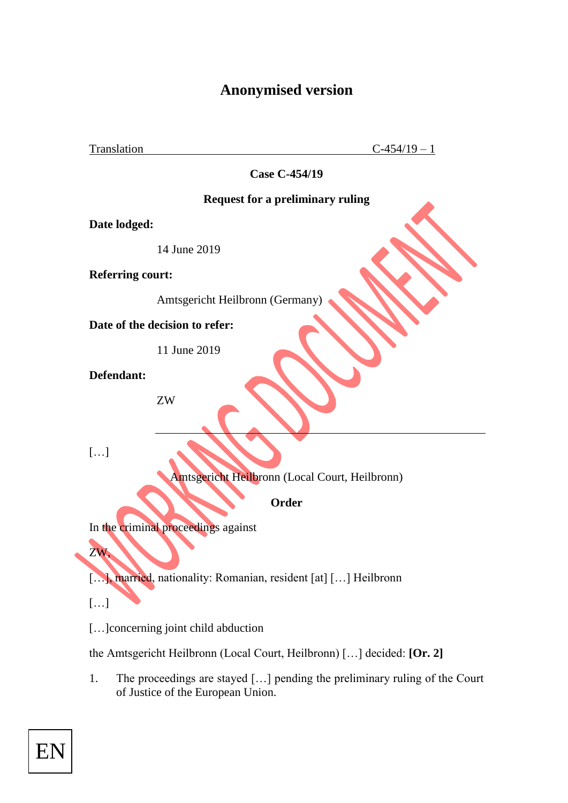# **Anonymised version**

Translation  $C-454/19-1$ 

**Case C-454/19**

## **Request for a preliminary ruling**

**Date lodged:**

14 June 2019

**Referring court:**

Amtsgericht Heilbronn (Germany)

**Date of the decision to refer:**

11 June 2019

**Defendant:**

ZW

[…]

Amtsgericht Heilbronn (Local Court, Heilbronn)

**Order**

In the criminal proceedings against

[...], married, nationality: Romanian, resident [at] [...] Heilbronn

[…]

ZW,

[…]concerning joint child abduction

the Amtsgericht Heilbronn (Local Court, Heilbronn) […] decided: **[Or. 2]**

1. The proceedings are stayed […] pending the preliminary ruling of the Court of Justice of the European Union.

EN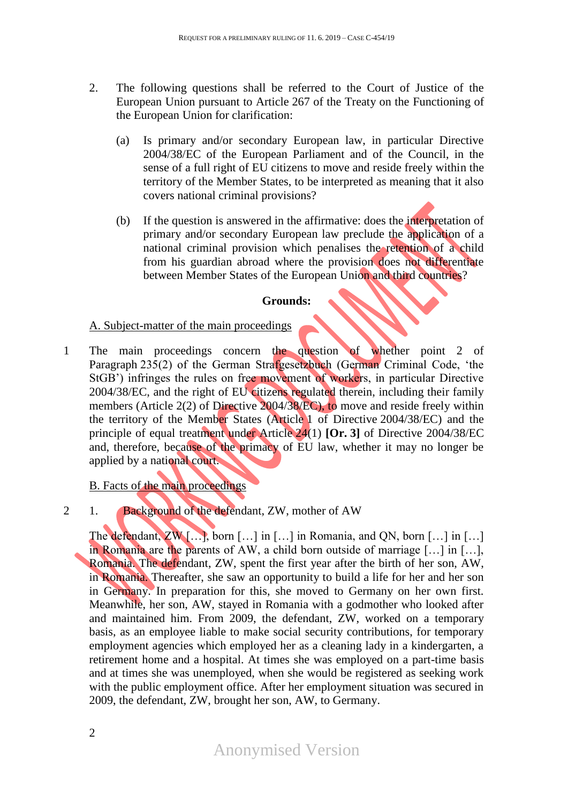- 2. The following questions shall be referred to the Court of Justice of the European Union pursuant to Article 267 of the Treaty on the Functioning of the European Union for clarification:
	- (a) Is primary and/or secondary European law, in particular Directive 2004/38/EC of the European Parliament and of the Council, in the sense of a full right of EU citizens to move and reside freely within the territory of the Member States, to be interpreted as meaning that it also covers national criminal provisions?
	- (b) If the question is answered in the affirmative: does the interpretation of primary and/or secondary European law preclude the application of a national criminal provision which penalises the retention of a child from his guardian abroad where the provision does not differentiate between Member States of the European Union and third countries?

## **Grounds:**

## A. Subject-matter of the main proceedings

1 The main proceedings concern the question of whether point 2 of Paragraph 235(2) of the German Strafgesetzbuch (German Criminal Code, 'the StGB') infringes the rules on free movement of workers, in particular Directive 2004/38/EC, and the right of EU citizens regulated therein, including their family members (Article 2(2) of Directive 2004/38/EC), to move and reside freely within the territory of the Member States (Article 1 of Directive 2004/38/EC) and the principle of equal treatment under Article 24(1) **[Or. 3]** of Directive 2004/38/EC and, therefore, because of the primacy of EU law, whether it may no longer be applied by a national court.

## B. Facts of the main proceedings

2 1. Background of the defendant, ZW, mother of AW

The defendant,  $ZW$  [...], born [...] in [...] in Romania, and QN, born [...] in [...] in Romania are the parents of AW, a child born outside of marriage […] in […], Romania. The defendant, ZW, spent the first year after the birth of her son, AW, in Romania. Thereafter, she saw an opportunity to build a life for her and her son in Germany. In preparation for this, she moved to Germany on her own first. Meanwhile, her son, AW, stayed in Romania with a godmother who looked after and maintained him. From 2009, the defendant, ZW, worked on a temporary basis, as an employee liable to make social security contributions, for temporary employment agencies which employed her as a cleaning lady in a kindergarten, a retirement home and a hospital. At times she was employed on a part-time basis and at times she was unemployed, when she would be registered as seeking work with the public employment office. After her employment situation was secured in 2009, the defendant, ZW, brought her son, AW, to Germany.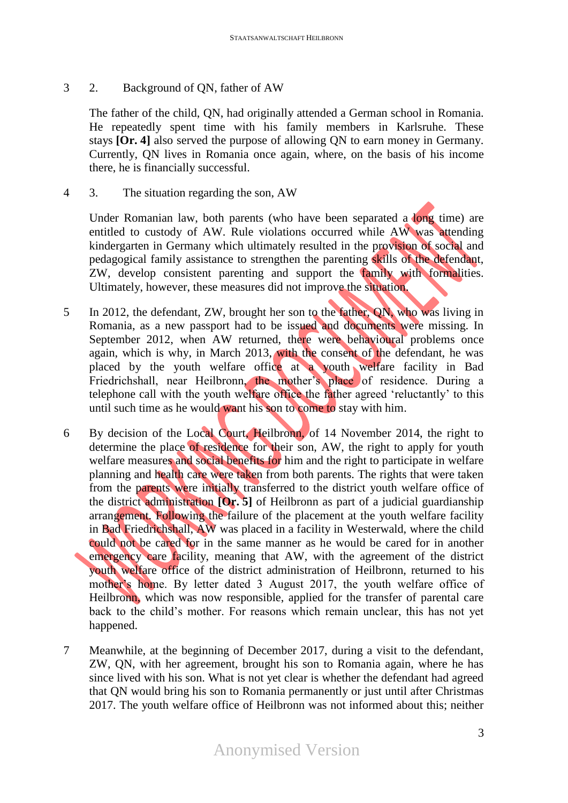## 3 2. Background of QN, father of AW

The father of the child, QN, had originally attended a German school in Romania. He repeatedly spent time with his family members in Karlsruhe. These stays **[Or. 4]** also served the purpose of allowing QN to earn money in Germany. Currently, QN lives in Romania once again, where, on the basis of his income there, he is financially successful.

4 3. The situation regarding the son, AW

Under Romanian law, both parents (who have been separated a long time) are entitled to custody of AW. Rule violations occurred while AW was attending kindergarten in Germany which ultimately resulted in the provision of social and pedagogical family assistance to strengthen the parenting skills of the defendant, ZW, develop consistent parenting and support the family with formalities. Ultimately, however, these measures did not improve the situation.

- 5 In 2012, the defendant, ZW, brought her son to the father, QN, who was living in Romania, as a new passport had to be issued and documents were missing. In September 2012, when AW returned, there were behavioural problems once again, which is why, in March 2013, with the consent of the defendant, he was placed by the youth welfare office at a youth welfare facility in Bad Friedrichshall, near Heilbronn, the mother's place of residence. During a telephone call with the youth welfare office the father agreed 'reluctantly' to this until such time as he would want his son to come to stay with him.
- 6 By decision of the Local Court, Heilbronn, of 14 November 2014, the right to determine the place of residence for their son, AW, the right to apply for youth welfare measures and social benefits for him and the right to participate in welfare planning and health care were taken from both parents. The rights that were taken from the parents were initially transferred to the district youth welfare office of the district administration **[Or. 5]** of Heilbronn as part of a judicial guardianship arrangement. Following the failure of the placement at the youth welfare facility in Bad Friedrichshall, AW was placed in a facility in Westerwald, where the child could not be cared for in the same manner as he would be cared for in another emergency care facility, meaning that AW, with the agreement of the district youth welfare office of the district administration of Heilbronn, returned to his mother's home. By letter dated 3 August 2017, the youth welfare office of Heilbronn, which was now responsible, applied for the transfer of parental care back to the child's mother. For reasons which remain unclear, this has not yet happened.
- 7 Meanwhile, at the beginning of December 2017, during a visit to the defendant, ZW, QN, with her agreement, brought his son to Romania again, where he has since lived with his son. What is not yet clear is whether the defendant had agreed that QN would bring his son to Romania permanently or just until after Christmas 2017. The youth welfare office of Heilbronn was not informed about this; neither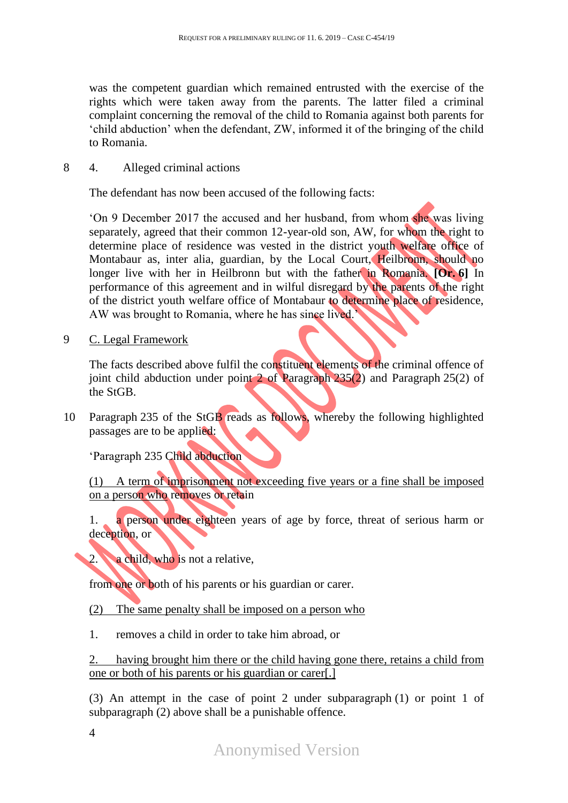was the competent guardian which remained entrusted with the exercise of the rights which were taken away from the parents. The latter filed a criminal complaint concerning the removal of the child to Romania against both parents for 'child abduction' when the defendant, ZW, informed it of the bringing of the child to Romania.

## 8 4. Alleged criminal actions

The defendant has now been accused of the following facts:

'On 9 December 2017 the accused and her husband, from whom she was living separately, agreed that their common 12-year-old son, AW, for whom the right to determine place of residence was vested in the district youth welfare office of Montabaur as, inter alia, guardian, by the Local Court, Heilbronn, should no longer live with her in Heilbronn but with the father in Romania. **[Or. 6]** In performance of this agreement and in wilful disregard by the parents of the right of the district youth welfare office of Montabaur to determine place of residence, AW was brought to Romania, where he has since lived.'

9 C. Legal Framework

The facts described above fulfil the constituent elements of the criminal offence of joint child abduction under point 2 of Paragraph 235(2) and Paragraph 25(2) of the StGB.

10 Paragraph 235 of the StGB reads as follows, whereby the following highlighted passages are to be applied:

'Paragraph 235 Child abduction

(1) A term of imprisonment not exceeding five years or a fine shall be imposed on a person who removes or retain

1. a person under eighteen years of age by force, threat of serious harm or deception, or

2. a child, who is not a relative,

from one or both of his parents or his guardian or carer.

(2) The same penalty shall be imposed on a person who

1. removes a child in order to take him abroad, or

2. having brought him there or the child having gone there, retains a child from one or both of his parents or his guardian or carer[.]

(3) An attempt in the case of point 2 under subparagraph (1) or point 1 of subparagraph (2) above shall be a punishable offence.

4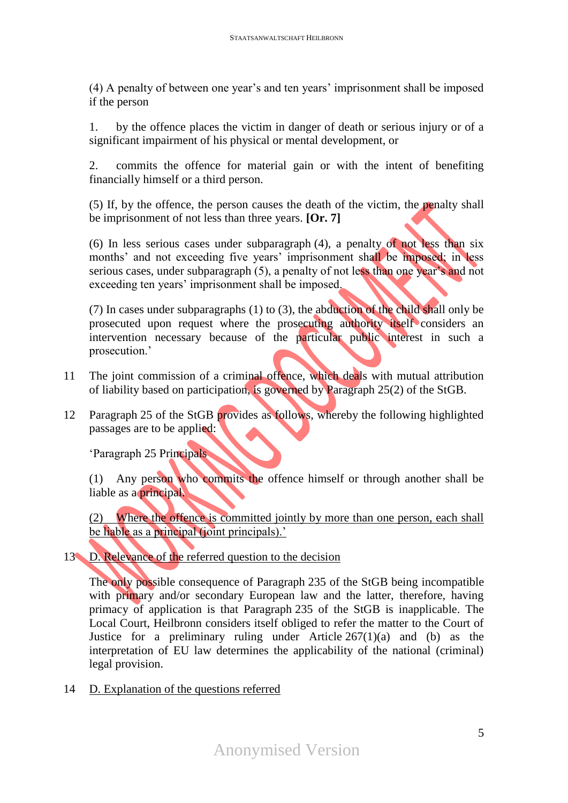(4) A penalty of between one year's and ten years' imprisonment shall be imposed if the person

1. by the offence places the victim in danger of death or serious injury or of a significant impairment of his physical or mental development, or

2. commits the offence for material gain or with the intent of benefiting financially himself or a third person.

(5) If, by the offence, the person causes the death of the victim, the penalty shall be imprisonment of not less than three years. **[Or. 7]**

(6) In less serious cases under subparagraph (4), a penalty of not less than six months' and not exceeding five years' imprisonment shall be imposed; in less serious cases, under subparagraph (5), a penalty of not less than one year's and not exceeding ten years' imprisonment shall be imposed.

(7) In cases under subparagraphs (1) to (3), the abduction of the child shall only be prosecuted upon request where the prosecuting authority itself considers an intervention necessary because of the particular public interest in such a prosecution.'

- 11 The joint commission of a criminal offence, which deals with mutual attribution of liability based on participation, is governed by Paragraph 25(2) of the StGB.
- 12 Paragraph 25 of the StGB provides as follows, whereby the following highlighted passages are to be applied:

'Paragraph 25 Principals

(1) Any person who commits the offence himself or through another shall be liable as a principal.

(2) Where the offence is committed jointly by more than one person, each shall be liable as a principal (joint principals).'

13 D. Relevance of the referred question to the decision

The only possible consequence of Paragraph 235 of the StGB being incompatible with primary and/or secondary European law and the latter, therefore, having primacy of application is that Paragraph 235 of the StGB is inapplicable. The Local Court, Heilbronn considers itself obliged to refer the matter to the Court of Justice for a preliminary ruling under Article  $267(1)(a)$  and (b) as the interpretation of EU law determines the applicability of the national (criminal) legal provision.

14 D. Explanation of the questions referred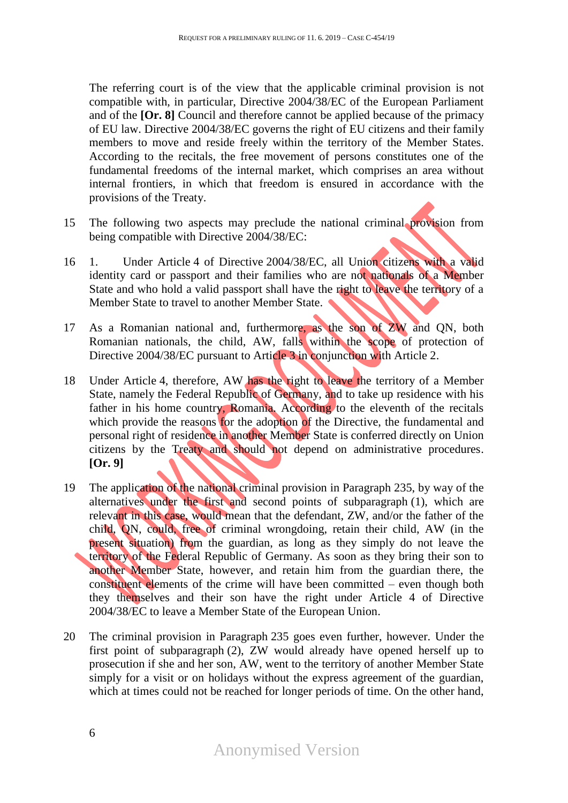The referring court is of the view that the applicable criminal provision is not compatible with, in particular, Directive 2004/38/EC of the European Parliament and of the **[Or. 8]** Council and therefore cannot be applied because of the primacy of EU law. Directive 2004/38/EC governs the right of EU citizens and their family members to move and reside freely within the territory of the Member States. According to the recitals, the free movement of persons constitutes one of the fundamental freedoms of the internal market, which comprises an area without internal frontiers, in which that freedom is ensured in accordance with the provisions of the Treaty.

- 15 The following two aspects may preclude the national criminal provision from being compatible with Directive 2004/38/EC:
- 16 1. Under Article 4 of Directive 2004/38/EC, all Union citizens with a valid identity card or passport and their families who are not nationals of a Member State and who hold a valid passport shall have the right to leave the territory of a Member State to travel to another Member State.
- 17 As a Romanian national and, furthermore, as the son of ZW and QN, both Romanian nationals, the child, AW, falls within the scope of protection of Directive 2004/38/EC pursuant to Article 3 in conjunction with Article 2.
- 18 Under Article 4, therefore, AW has the right to leave the territory of a Member State, namely the Federal Republic of Germany, and to take up residence with his father in his home country, Romania. According to the eleventh of the recitals which provide the reasons for the adoption of the Directive, the fundamental and personal right of residence in another Member State is conferred directly on Union citizens by the Treaty and should not depend on administrative procedures. **[Or. 9]**
- 19 The application of the national criminal provision in Paragraph 235, by way of the alternatives under the first and second points of subparagraph (1), which are relevant in this case, would mean that the defendant, ZW, and/or the father of the child, QN, could, free of criminal wrongdoing, retain their child, AW (in the present situation) from the guardian, as long as they simply do not leave the territory of the Federal Republic of Germany. As soon as they bring their son to another Member State, however, and retain him from the guardian there, the constituent elements of the crime will have been committed – even though both they themselves and their son have the right under Article 4 of Directive 2004/38/EC to leave a Member State of the European Union.
- 20 The criminal provision in Paragraph 235 goes even further, however. Under the first point of subparagraph (2), ZW would already have opened herself up to prosecution if she and her son, AW, went to the territory of another Member State simply for a visit or on holidays without the express agreement of the guardian, which at times could not be reached for longer periods of time. On the other hand,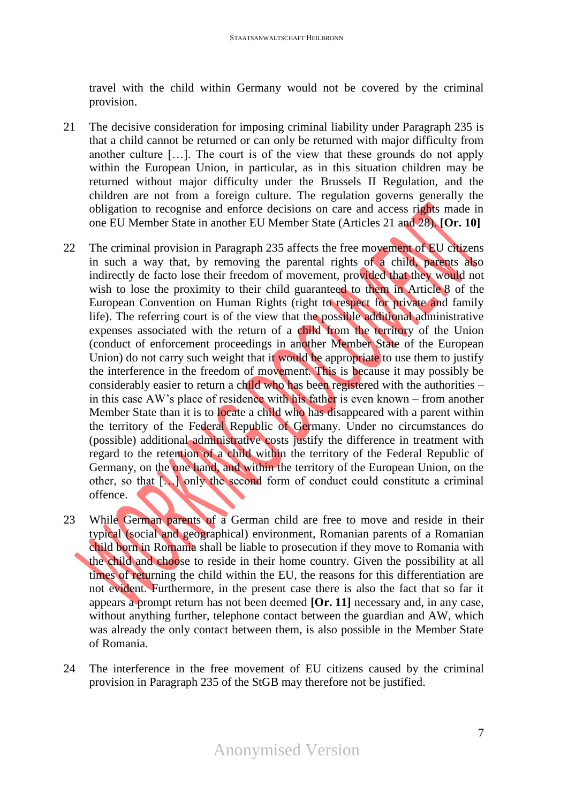travel with the child within Germany would not be covered by the criminal provision.

- 21 The decisive consideration for imposing criminal liability under Paragraph 235 is that a child cannot be returned or can only be returned with major difficulty from another culture […]. The court is of the view that these grounds do not apply within the European Union, in particular, as in this situation children may be returned without major difficulty under the Brussels II Regulation, and the children are not from a foreign culture. The regulation governs generally the obligation to recognise and enforce decisions on care and access rights made in one EU Member State in another EU Member State (Articles 21 and 28). **[Or. 10]**
- 22 The criminal provision in Paragraph 235 affects the free movement of EU citizens in such a way that, by removing the parental rights of a child, parents also indirectly de facto lose their freedom of movement, provided that they would not wish to lose the proximity to their child guaranteed to them in Article 8 of the European Convention on Human Rights (right to respect for private and family life). The referring court is of the view that the possible additional administrative expenses associated with the return of a child from the territory of the Union (conduct of enforcement proceedings in another Member State of the European Union) do not carry such weight that it would be appropriate to use them to justify the interference in the freedom of movement. This is because it may possibly be considerably easier to return a child who has been registered with the authorities – in this case AW's place of residence with his father is even known – from another Member State than it is to locate a child who has disappeared with a parent within the territory of the Federal Republic of Germany. Under no circumstances do (possible) additional administrative costs justify the difference in treatment with regard to the retention of a child within the territory of the Federal Republic of Germany, on the one hand, and within the territory of the European Union, on the other, so that […] only the second form of conduct could constitute a criminal offence.
- 23 While German parents of a German child are free to move and reside in their typical (social and geographical) environment, Romanian parents of a Romanian child born in Romania shall be liable to prosecution if they move to Romania with the child and choose to reside in their home country. Given the possibility at all times of returning the child within the EU, the reasons for this differentiation are not evident. Furthermore, in the present case there is also the fact that so far it appears a prompt return has not been deemed **[Or. 11]** necessary and, in any case, without anything further, telephone contact between the guardian and AW, which was already the only contact between them, is also possible in the Member State of Romania.
- 24 The interference in the free movement of EU citizens caused by the criminal provision in Paragraph 235 of the StGB may therefore not be justified.